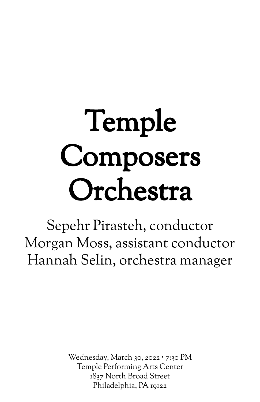# Temple Composers Orchestra

Sepehr Pirasteh, conductor Morgan Moss, assistant conductor Hannah Selin, orchestra manager

> Wednesday, March 30, 2022 ∙ 7:30 PM Temple Performing Arts Center 1837 North Broad Street Philadelphia, PA 19122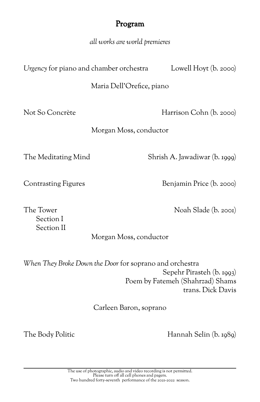# Program

*all works are world premieres*

*Urgency* for piano and chamber orchestra Lowell Hoyt (b. 2000)

Maria Dell'Orefice, piano

Not So Concrète Harrison Cohn (b. 2000)

Morgan Moss, conductor

The Meditating Mind Shrish A. Jawadiwar (b. 1999)

Contrasting Figures Benjamin Price (b. 2000)

Section I Section II

The Tower Noah Slade (b. 2001)

## Morgan Moss, conductor

*When They Broke Down the Door* for soprano and orchestra Sepehr Pirasteh (b. 1993) Poem by Fatemeh (Shahrzad) Shams trans. Dick Davis

Carleen Baron, soprano

The Body Politic Hannah Selin (b. 1989)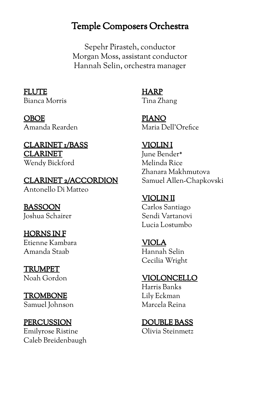# Temple Composers Orchestra

Sepehr Pirasteh, conductor Morgan Moss, assistant conductor Hannah Selin, orchestra manager

FLUTE Bianca Morris

OBOE Amanda Rearden

#### CLARINET 1/BASS CLARINET Wendy Bickford

CLARINET 2/ACCORDION Antonello Di Matteo

BASSOON Joshua Schairer

HORNS IN F Etienne Kambara Amanda Staab

TRUMPET Noah Gordon

TROMBONE Samuel Johnson

**PERCUSSION** Emilyrose Ristine Caleb Breidenbaugh HARP Tina Zhang

PIANO Maria Dell'Orefice

VIOLIN I June Bender\* Melinda Rice Zhanara Makhmutova Samuel Allen-Chapkovski

VIOLIN II Carlos Santiago Sendi Vartanovi Lucia Lostumbo

VIOLA Hannah Selin Cecilia Wright

VIOLONCELLO

Harris Banks Lily Eckman Marcela Reina

DOUBLE BASS Olivia Steinmetz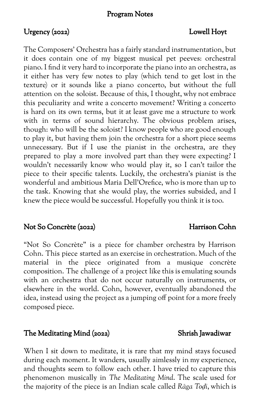#### Program Notes

## Urgency (2022) Lowell Hoyt

The Composers' Orchestra has a fairly standard instrumentation, but it does contain one of my biggest musical pet peeves: orchestral piano. I find it very hard to incorporate the piano into an orchestra, as it either has very few notes to play (which tend to get lost in the texture) or it sounds like a piano concerto, but without the full attention on the soloist. Because of this, I thought, why not embrace this peculiarity and write a concerto movement? Writing a concerto is hard on its own terms, but it at least gave me a structure to work with in terms of sound hierarchy. The obvious problem arises, though: who will be the soloist? I know people who are good enough to play it, but having them join the orchestra for a short piece seems unnecessary. But if I use the pianist in the orchestra, are they prepared to play a more involved part than they were expecting? I wouldn't necessarily know who would play it, so I can't tailor the piece to their specific talents. Luckily, the orchestra's pianist is the wonderful and ambitious Maria Dell'Orefice, who is more than up to the task. Knowing that she would play, the worries subsided, and I knew the piece would be successful. Hopefully you think it is too.

#### Not So Concrète (2022) Harrison Cohn

"Not So Concrète" is a piece for chamber orchestra by Harrison Cohn. This piece started as an exercise in orchestration. Much of the material in the piece originated from a musique concrète composition. The challenge of a project like this is emulating sounds with an orchestra that do not occur naturally on instruments, or elsewhere in the world. Cohn, however, eventually abandoned the idea, instead using the project as a jumping off point for a more freely composed piece.

#### The Meditating Mind (2022) Shrish Jawadiwar

When I sit down to meditate, it is rare that my mind stays focused during each moment. It wanders, usually aimlessly in my experience, and thoughts seem to follow each other. I have tried to capture this phenomenon musically in *The Meditating Mind*. The scale used for the majority of the piece is an Indian scale called *Rāga Toḍi*, which is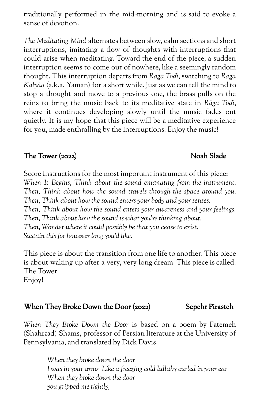traditionally performed in the mid-morning and is said to evoke a sense of devotion.

*The Meditating Mind* alternates between slow, calm sections and short interruptions, imitating a flow of thoughts with interruptions that could arise when meditating. Toward the end of the piece, a sudden interruption seems to come out of nowhere, like a seemingly random thought. This interruption departs from *Rāga Toḍi*, switching to *Rāga Kalyāṇ* (a.k.a. Yaman) for a short while. Just as we can tell the mind to stop a thought and move to a previous one, the brass pulls on the reins to bring the music back to its meditative state in *Rāga Toḍi*, where it continues developing slowly until the music fades out quietly. It is my hope that this piece will be a meditative experience for you, made enthralling by the interruptions. Enjoy the music!

## The Tower (2022) Noah Slade

Score Instructions for the most important instrument of this piece: *When It Begins, Think about the sound emanating from the instrument. Then, Think about how the sound travels through the space around you. Then, Think about how the sound enters your body and your senses. Then, Think about how the sound enters your awareness and your feelings. Then, Think about how the sound is what you're thinking about. Then, Wonder where it could possibly be that you cease to exist. Sustain this for however long you'd like.*

This piece is about the transition from one life to another. This piece is about waking up after a very, very long dream. This piece is called: The Tower Enjoy!

# When They Broke Down the Door (2022) Sepehr Pirasteh

*When They Broke Down the Door* is based on a poem by Fatemeh (Shahrzad) Shams, professor of Persian literature at the University of Pennsylvania, and translated by Dick Davis.

> *When they broke down the door I was in your arms Like a freezing cold lullaby curled in your ear When they broke down the door you gripped me tightly,*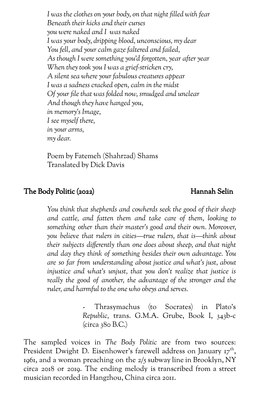*I was the clothes on your body, on that night filled with fear Beneath their kicks and their curses you were naked and I was naked I was your body, dripping blood, unconscious, my dear You fell, and your calm gaze faltered and failed, As though I were something you'd forgotten, year after year When they took you I was a grief-stricken cry, A silent sea where your fabulous creatures appear I was a sadness cracked open, calm in the midst Of your file that was folded now, smudged and unclear And though they have hanged you, in memory's Image, I see myself there, in your arms, my dear.*

Poem by Fatemeh (Shahrzad) Shams Translated by Dick Davis

## The Body Politic (2022) Hannah Selin

*You think that shepherds and cowherds seek the good of their sheep and cattle, and fatten them and take care of them, looking to something other than their master's good and their own. Moreover, you believe that rulers in cities—true rulers, that is—think about their subjects differently than one does about sheep, and that night and day they think of something besides their own advantage. You are so far from understanding about justice and what's just, about injustice and what's unjust, that you don't realize that justice is really the good of another, the advantage of the stronger and the ruler, and harmful to the one who obeys and serves.*

> - Thrasymachus (to Socrates) in Plato's *Republic,* trans. G.M.A. Grube, Book I, 343b-c (circa 380 B.C.)

The sampled voices in *The Body Politic* are from two sources: President Dwight D. Eisenhower's farewell address on January 17<sup>th</sup>, 1961, and a woman preaching on the 2/5 subway line in Brooklyn, NY circa 2018 or 2019. The ending melody is transcribed from a street musician recorded in Hangzhou, China circa 2011.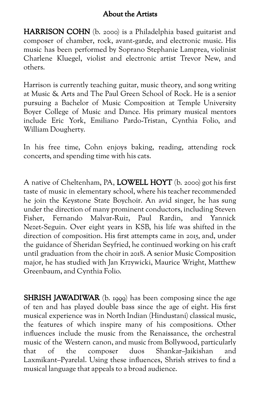## About the Artists

HARRISON COHN (b. 2000) is a Philadelphia based guitarist and composer of chamber, rock, avant-garde, and electronic music. His music has been performed by Soprano Stephanie Lamprea, violinist Charlene Kluegel, violist and electronic artist Trevor New, and others.

Harrison is currently teaching guitar, music theory, and song writing at Music & Arts and The Paul Green School of Rock. He is a senior pursuing a Bachelor of Music Composition at Temple University Boyer College of Music and Dance. His primary musical mentors include Eric York, Emiliano Pardo-Tristan, Cynthia Folio, and William Dougherty.

In his free time, Cohn enjoys baking, reading, attending rock concerts, and spending time with his cats.

A native of Cheltenham, PA, LOWELL HOYT (b. 2000) got his first taste of music in elementary school, where his teacher recommended he join the Keystone State Boychoir. An avid singer, he has sung under the direction of many prominent conductors, including Steven Fisher, Fernando Malvar-Ruiz, Paul Rardin, and Yannick Nezet-Seguin. Over eight years in KSB, his life was shifted in the direction of composition. His first attempts came in 2015, and, under the guidance of Sheridan Seyfried, he continued working on his craft until graduation from the choir in 2018. A senior Music Composition major, he has studied with Jan Krzywicki, Maurice Wright, Matthew Greenbaum, and Cynthia Folio.

**SHRISH JAWADIWAR** (b. 1999) has been composing since the age of ten and has played double bass since the age of eight. His first musical experience was in North Indian (Hindustani) classical music, the features of which inspire many of his compositions. Other influences include the music from the Renaissance, the orchestral music of the Western canon, and music from Bollywood, particularly that of the composer duos Shankar–Jaikishan and Laxmikant–Pyarelal. Using these influences, Shrish strives to find a musical language that appeals to a broad audience.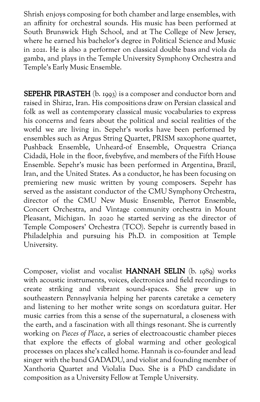Shrish enjoys composing for both chamber and large ensembles, with an affinity for orchestral sounds. His music has been performed at South Brunswick High School, and at The College of New Jersey, where he earned his bachelor's degree in Political Science and Music in 2021. He is also a performer on classical double bass and viola da gamba, and plays in the Temple University Symphony Orchestra and Temple's Early Music Ensemble.

SEPEHR PIRASTEH (b. 1993) is a composer and conductor born and raised in Shiraz, Iran. His compositions draw on Persian classical and folk as well as contemporary classical music vocabularies to express his concerns and fears about the political and social realities of the world we are living in. Sepehr's works have been performed by ensembles such as Argus String Quartet, PRISM saxophone quartet, Pushback Ensemble, Unheard-of Ensemble, Orquestra Criança Cidadã, Hole in the floor, fivebyfive, and members of the Fifth House Ensemble. Sepehr's music has been performed in Argentina, Brazil, Iran, and the United States. As a conductor, he has been focusing on premiering new music written by young composers. Sepehr has served as the assistant conductor of the CMU Symphony Orchestra, director of the CMU New Music Ensemble, Pierrot Ensemble, Concert Orchestra, and Vintage community orchestra in Mount Pleasant, Michigan. In 2020 he started serving as the director of Temple Composers' Orchestra (TCO). Sepehr is currently based in Philadelphia and pursuing his Ph.D. in composition at Temple University.

Composer, violist and vocalist HANNAH SELIN (b. 1989) works with acoustic instruments, voices, electronics and field recordings to create striking and vibrant sound-spaces. She grew up in southeastern Pennsylvania helping her parents caretake a cemetery and listening to her mother write songs on scordatura guitar. Her music carries from this a sense of the supernatural, a closeness with the earth, and a fascination with all things resonant. She is currently working on *Pieces of Place*, a series of electroacoustic chamber pieces that explore the effects of global warming and other geological processes on places she's called home. Hannah is co-founder and lead singer with the band GADADU, and violist and founding member of Xanthoria Quartet and Violalia Duo. She is a PhD candidate in composition as a University Fellow at Temple University.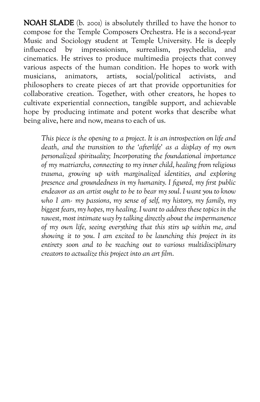NOAH SLADE (b. 2001) is absolutely thrilled to have the honor to compose for the Temple Composers Orchestra. He is a second-year Music and Sociology student at Temple University. He is deeply<br>influenced by impressionism, surrealism, psychedelia, and influenced by impressionism, surrealism, psychedelia, and cinematics. He strives to produce multimedia projects that convey various aspects of the human condition. He hopes to work with musicians. animators, artists, social/political activists, and musicians, animators, artists, social/political activists, and philosophers to create pieces of art that provide opportunities for collaborative creation. Together, with other creators, he hopes to cultivate experiential connection, tangible support, and achievable hope by producing intimate and potent works that describe what being alive, here and now, means to each of us.

*This piece is the opening to a project. It is an introspection on life and death, and the transition to the 'afterlife' as a display of my own personalized spirituality; Incorporating the foundational importance of my matriarchs, connecting to my inner child, healing from religious trauma, growing up with marginalized identities, and exploring presence and groundedness in my humanity. I figured, my first public endeavor as an artist ought to be to bear my soul. I want you to know who I am- my passions, my sense of self, my history, my family, my biggest fears, my hopes, my healing. I want to address these topics in the rawest, most intimate way by talking directly about the impermanence of my own life, seeing everything that this stirs up within me, and showing it to you. I am excited to be launching this project in its entirety soon and to be reaching out to various multidisciplinary creators to actualize this project into an art film.*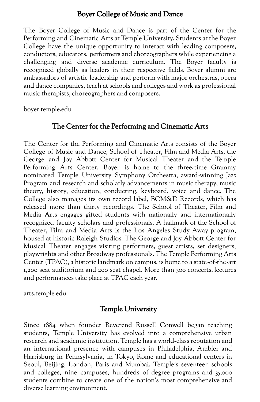#### Boyer College of Music and Dance

The Boyer College of Music and Dance is part of the Center for the Performing and Cinematic Arts at Temple University. Students at the Boyer College have the unique opportunity to interact with leading composers, conductors, educators, performers and choreographers while experiencing a challenging and diverse academic curriculum. The Boyer faculty is recognized globally as leaders in their respective fields. Boyer alumni are ambassadors of artistic leadership and perform with major orchestras, opera and dance companies, teach at schools and colleges and work as professional music therapists, choreographers and composers.

boyer.temple.edu

## The Center for the Performing and Cinematic Arts

The Center for the Performing and Cinematic Arts consists of the Boyer College of Music and Dance, School of Theater, Film and Media Arts, the George and Joy Abbott Center for Musical Theater and the Temple Performing Arts Center. Boyer is home to the three-time Grammy nominated Temple University Symphony Orchestra, award-winning Jazz Program and research and scholarly advancements in music therapy, music theory, history, education, conducting, keyboard, voice and dance. The College also manages its own record label, BCM&D Records, which has released more than thirty recordings. The School of Theater, Film and Media Arts engages gifted students with nationally and internationally recognized faculty scholars and professionals. A hallmark of the School of Theater, Film and Media Arts is the Los Angeles Study Away program, housed at historic Raleigh Studios. The George and Joy Abbott Center for Musical Theater engages visiting performers, guest artists, set designers, playwrights and other Broadway professionals. The Temple Performing Arts Center (TPAC), a historic landmark on campus, is home to a state-of-the-art 1,200 seat auditorium and 200 seat chapel. More than 300 concerts, lectures and performances take place at TPAC each year.

arts.temple.edu

#### Temple University

Since 1884 when founder Reverend Russell Conwell began teaching students, Temple University has evolved into a comprehensive urban research and academic institution. Temple has a world-class reputation and an international presence with campuses in Philadelphia, Ambler and Harrisburg in Pennsylvania, in Tokyo, Rome and educational centers in Seoul, Beijing, London, Paris and Mumbai. Temple's seventeen schools and colleges, nine campuses, hundreds of degree programs and 35,000 students combine to create one of the nation's most comprehensive and diverse learning environment.